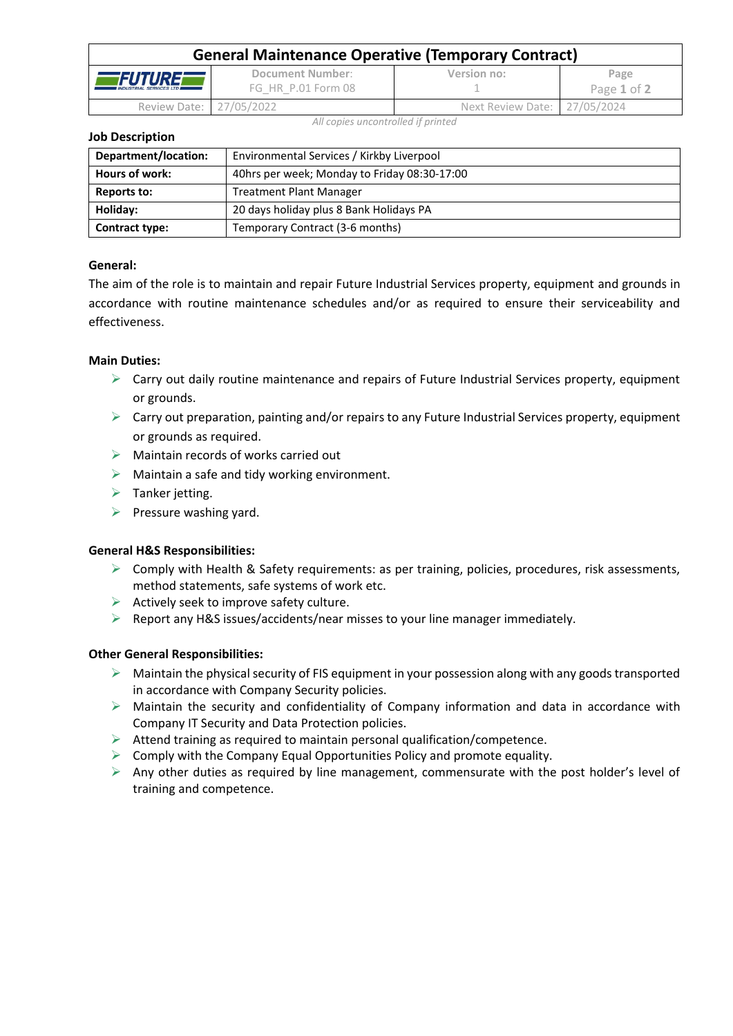| <b>General Maintenance Operative (Temporary Contract)</b> |                                        |                              |                     |  |  |
|-----------------------------------------------------------|----------------------------------------|------------------------------|---------------------|--|--|
| <i>EFUTUREF</i><br><b>INDUSTRIAL SERVICES LTD.</b>        | Document Number:<br>FG HR P.01 Form 08 | Version no:                  | Page<br>Page 1 of 2 |  |  |
| Review Date: 27/05/2022                                   |                                        | Next Review Date: 27/05/2024 |                     |  |  |

*All copies uncontrolled if printed*

### **Job Description**

| Department/location:  | Environmental Services / Kirkby Liverpool    |  |  |  |
|-----------------------|----------------------------------------------|--|--|--|
| Hours of work:        | 40hrs per week; Monday to Friday 08:30-17:00 |  |  |  |
| Reports to:           | <b>Treatment Plant Manager</b>               |  |  |  |
| Holiday:              | 20 days holiday plus 8 Bank Holidays PA      |  |  |  |
| <b>Contract type:</b> | Temporary Contract (3-6 months)              |  |  |  |

## **General:**

The aim of the role is to maintain and repair Future Industrial Services property, equipment and grounds in accordance with routine maintenance schedules and/or as required to ensure their serviceability and effectiveness.

## **Main Duties:**

- $\triangleright$  Carry out daily routine maintenance and repairs of Future Industrial Services property, equipment or grounds.
- $\triangleright$  Carry out preparation, painting and/or repairs to any Future Industrial Services property, equipment or grounds as required.
- $\triangleright$  Maintain records of works carried out
- $\triangleright$  Maintain a safe and tidy working environment.
- $\triangleright$  Tanker jetting.
- $\triangleright$  Pressure washing yard.

## **General H&S Responsibilities:**

- ➢ Comply with Health & Safety requirements: as per training, policies, procedures, risk assessments, method statements, safe systems of work etc.
- $\triangleright$  Actively seek to improve safety culture.
- $\triangleright$  Report any H&S issues/accidents/near misses to your line manager immediately.

## **Other General Responsibilities:**

- $\triangleright$  Maintain the physical security of FIS equipment in your possession along with any goods transported in accordance with Company Security policies.
- ➢ Maintain the security and confidentiality of Company information and data in accordance with Company IT Security and Data Protection policies.
- ➢ Attend training as required to maintain personal qualification/competence.
- $\triangleright$  Comply with the Company Equal Opportunities Policy and promote equality.
- $\triangleright$  Any other duties as required by line management, commensurate with the post holder's level of training and competence.